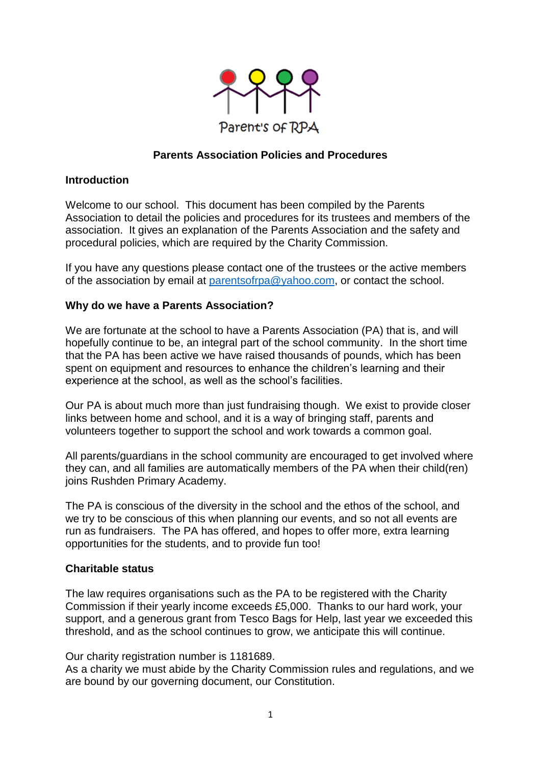

## **Parents Association Policies and Procedures**

### **Introduction**

Welcome to our school. This document has been compiled by the Parents Association to detail the policies and procedures for its trustees and members of the association. It gives an explanation of the Parents Association and the safety and procedural policies, which are required by the Charity Commission.

If you have any questions please contact one of the trustees or the active members of the association by email at [parentsofrpa@yahoo.com,](mailto:parentsofrpa@yahoo.com) or contact the school.

### **Why do we have a Parents Association?**

We are fortunate at the school to have a Parents Association (PA) that is, and will hopefully continue to be, an integral part of the school community. In the short time that the PA has been active we have raised thousands of pounds, which has been spent on equipment and resources to enhance the children's learning and their experience at the school, as well as the school's facilities.

Our PA is about much more than just fundraising though. We exist to provide closer links between home and school, and it is a way of bringing staff, parents and volunteers together to support the school and work towards a common goal.

All parents/guardians in the school community are encouraged to get involved where they can, and all families are automatically members of the PA when their child(ren) joins Rushden Primary Academy.

The PA is conscious of the diversity in the school and the ethos of the school, and we try to be conscious of this when planning our events, and so not all events are run as fundraisers. The PA has offered, and hopes to offer more, extra learning opportunities for the students, and to provide fun too!

### **Charitable status**

The law requires organisations such as the PA to be registered with the Charity Commission if their yearly income exceeds £5,000. Thanks to our hard work, your support, and a generous grant from Tesco Bags for Help, last year we exceeded this threshold, and as the school continues to grow, we anticipate this will continue.

Our charity registration number is 1181689.

As a charity we must abide by the Charity Commission rules and regulations, and we are bound by our governing document, our Constitution.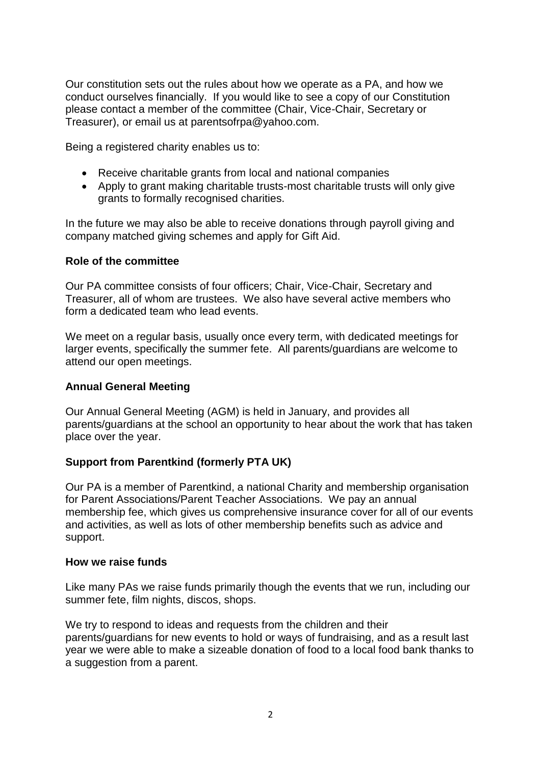Our constitution sets out the rules about how we operate as a PA, and how we conduct ourselves financially. If you would like to see a copy of our Constitution please contact a member of the committee (Chair, Vice-Chair, Secretary or Treasurer), or email us at parentsofrpa@yahoo.com.

Being a registered charity enables us to:

- Receive charitable grants from local and national companies
- Apply to grant making charitable trusts-most charitable trusts will only give grants to formally recognised charities.

In the future we may also be able to receive donations through payroll giving and company matched giving schemes and apply for Gift Aid.

#### **Role of the committee**

Our PA committee consists of four officers; Chair, Vice-Chair, Secretary and Treasurer, all of whom are trustees. We also have several active members who form a dedicated team who lead events.

We meet on a regular basis, usually once every term, with dedicated meetings for larger events, specifically the summer fete. All parents/guardians are welcome to attend our open meetings.

### **Annual General Meeting**

Our Annual General Meeting (AGM) is held in January, and provides all parents/guardians at the school an opportunity to hear about the work that has taken place over the year.

### **Support from Parentkind (formerly PTA UK)**

Our PA is a member of Parentkind, a national Charity and membership organisation for Parent Associations/Parent Teacher Associations. We pay an annual membership fee, which gives us comprehensive insurance cover for all of our events and activities, as well as lots of other membership benefits such as advice and support.

#### **How we raise funds**

Like many PAs we raise funds primarily though the events that we run, including our summer fete, film nights, discos, shops.

We try to respond to ideas and requests from the children and their parents/guardians for new events to hold or ways of fundraising, and as a result last year we were able to make a sizeable donation of food to a local food bank thanks to a suggestion from a parent.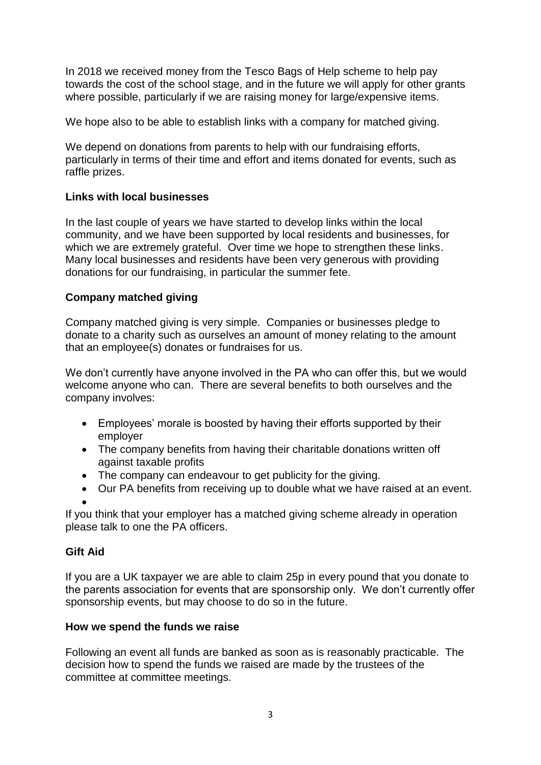In 2018 we received money from the Tesco Bags of Help scheme to help pay towards the cost of the school stage, and in the future we will apply for other grants where possible, particularly if we are raising money for large/expensive items.

We hope also to be able to establish links with a company for matched giving.

We depend on donations from parents to help with our fundraising efforts, particularly in terms of their time and effort and items donated for events, such as raffle prizes.

## **Links with local businesses**

In the last couple of years we have started to develop links within the local community, and we have been supported by local residents and businesses, for which we are extremely grateful. Over time we hope to strengthen these links. Many local businesses and residents have been very generous with providing donations for our fundraising, in particular the summer fete.

# **Company matched giving**

Company matched giving is very simple. Companies or businesses pledge to donate to a charity such as ourselves an amount of money relating to the amount that an employee(s) donates or fundraises for us.

We don't currently have anyone involved in the PA who can offer this, but we would welcome anyone who can. There are several benefits to both ourselves and the company involves:

- Employees' morale is boosted by having their efforts supported by their employer
- The company benefits from having their charitable donations written off against taxable profits
- The company can endeavour to get publicity for the giving.
- Our PA benefits from receiving up to double what we have raised at an event.

 $\bullet$ 

If you think that your employer has a matched giving scheme already in operation please talk to one the PA officers.

# **Gift Aid**

If you are a UK taxpayer we are able to claim 25p in every pound that you donate to the parents association for events that are sponsorship only. We don't currently offer sponsorship events, but may choose to do so in the future.

### **How we spend the funds we raise**

Following an event all funds are banked as soon as is reasonably practicable. The decision how to spend the funds we raised are made by the trustees of the committee at committee meetings.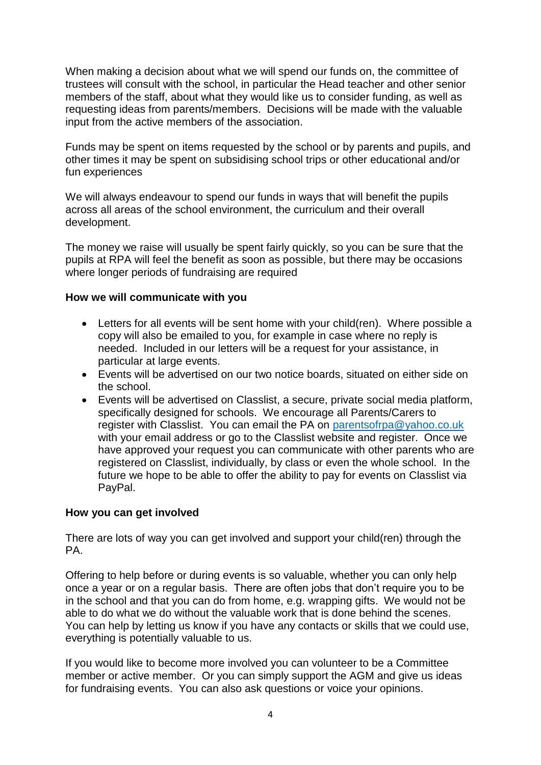When making a decision about what we will spend our funds on, the committee of trustees will consult with the school, in particular the Head teacher and other senior members of the staff, about what they would like us to consider funding, as well as requesting ideas from parents/members. Decisions will be made with the valuable input from the active members of the association.

Funds may be spent on items requested by the school or by parents and pupils, and other times it may be spent on subsidising school trips or other educational and/or fun experiences

We will always endeavour to spend our funds in ways that will benefit the pupils across all areas of the school environment, the curriculum and their overall development.

The money we raise will usually be spent fairly quickly, so you can be sure that the pupils at RPA will feel the benefit as soon as possible, but there may be occasions where longer periods of fundraising are required

### **How we will communicate with you**

- Letters for all events will be sent home with your child(ren). Where possible a copy will also be emailed to you, for example in case where no reply is needed. Included in our letters will be a request for your assistance, in particular at large events.
- Events will be advertised on our two notice boards, situated on either side on the school.
- Events will be advertised on Classlist, a secure, private social media platform, specifically designed for schools. We encourage all Parents/Carers to register with Classlist. You can email the PA on [parentsofrpa@yahoo.co.uk](mailto:parentsofrpa@yahoo.co.uk) with your email address or go to the Classlist website and register. Once we have approved your request you can communicate with other parents who are registered on Classlist, individually, by class or even the whole school. In the future we hope to be able to offer the ability to pay for events on Classlist via PayPal.

### **How you can get involved**

There are lots of way you can get involved and support your child(ren) through the PA.

Offering to help before or during events is so valuable, whether you can only help once a year or on a regular basis. There are often jobs that don't require you to be in the school and that you can do from home, e.g. wrapping gifts. We would not be able to do what we do without the valuable work that is done behind the scenes. You can help by letting us know if you have any contacts or skills that we could use, everything is potentially valuable to us.

If you would like to become more involved you can volunteer to be a Committee member or active member. Or you can simply support the AGM and give us ideas for fundraising events. You can also ask questions or voice your opinions.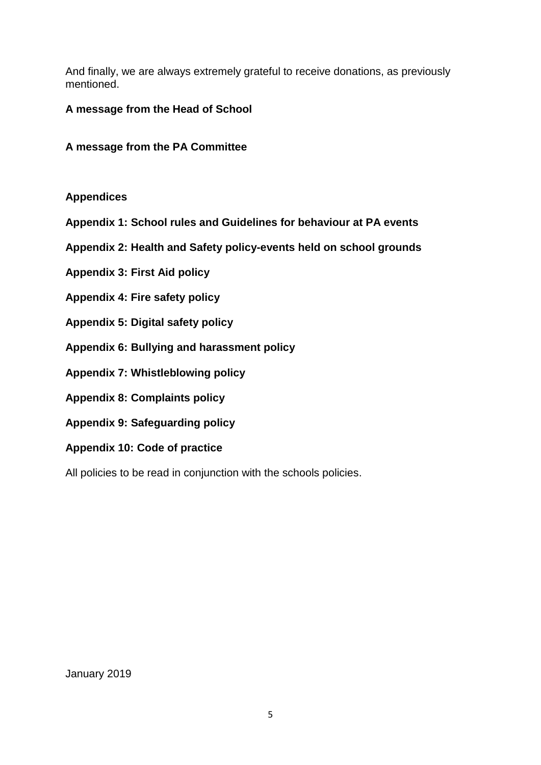And finally, we are always extremely grateful to receive donations, as previously mentioned.

## **A message from the Head of School**

**A message from the PA Committee**

## **Appendices**

- **Appendix 1: School rules and Guidelines for behaviour at PA events**
- **Appendix 2: Health and Safety policy-events held on school grounds**
- **Appendix 3: First Aid policy**
- **Appendix 4: Fire safety policy**
- **Appendix 5: Digital safety policy**
- **Appendix 6: Bullying and harassment policy**
- **Appendix 7: Whistleblowing policy**
- **Appendix 8: Complaints policy**
- **Appendix 9: Safeguarding policy**
- **Appendix 10: Code of practice**

All policies to be read in conjunction with the schools policies.

January 2019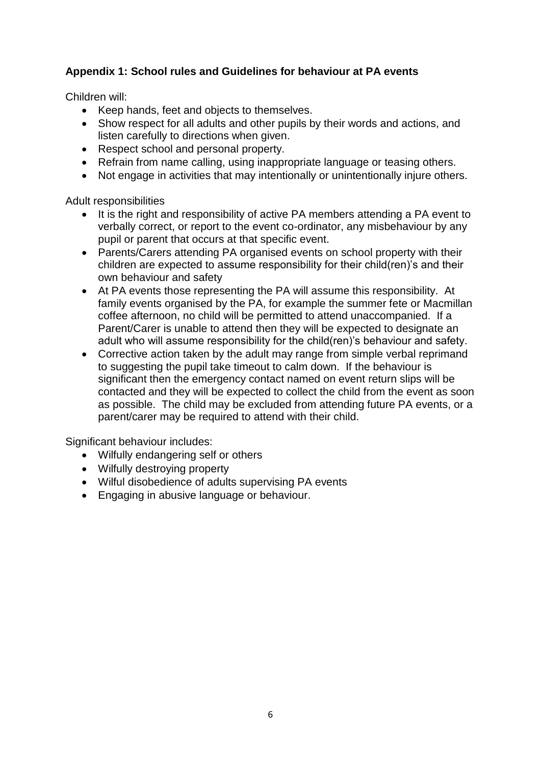# **Appendix 1: School rules and Guidelines for behaviour at PA events**

Children will:

- Keep hands, feet and objects to themselves.
- Show respect for all adults and other pupils by their words and actions, and listen carefully to directions when given.
- Respect school and personal property.
- Refrain from name calling, using inappropriate language or teasing others.
- Not engage in activities that may intentionally or unintentionally injure others.

Adult responsibilities

- It is the right and responsibility of active PA members attending a PA event to verbally correct, or report to the event co-ordinator, any misbehaviour by any pupil or parent that occurs at that specific event.
- Parents/Carers attending PA organised events on school property with their children are expected to assume responsibility for their child(ren)'s and their own behaviour and safety
- At PA events those representing the PA will assume this responsibility. At family events organised by the PA, for example the summer fete or Macmillan coffee afternoon, no child will be permitted to attend unaccompanied. If a Parent/Carer is unable to attend then they will be expected to designate an adult who will assume responsibility for the child(ren)'s behaviour and safety.
- Corrective action taken by the adult may range from simple verbal reprimand to suggesting the pupil take timeout to calm down. If the behaviour is significant then the emergency contact named on event return slips will be contacted and they will be expected to collect the child from the event as soon as possible. The child may be excluded from attending future PA events, or a parent/carer may be required to attend with their child.

Significant behaviour includes:

- Wilfully endangering self or others
- Wilfully destroying property
- Wilful disobedience of adults supervising PA events
- Engaging in abusive language or behaviour.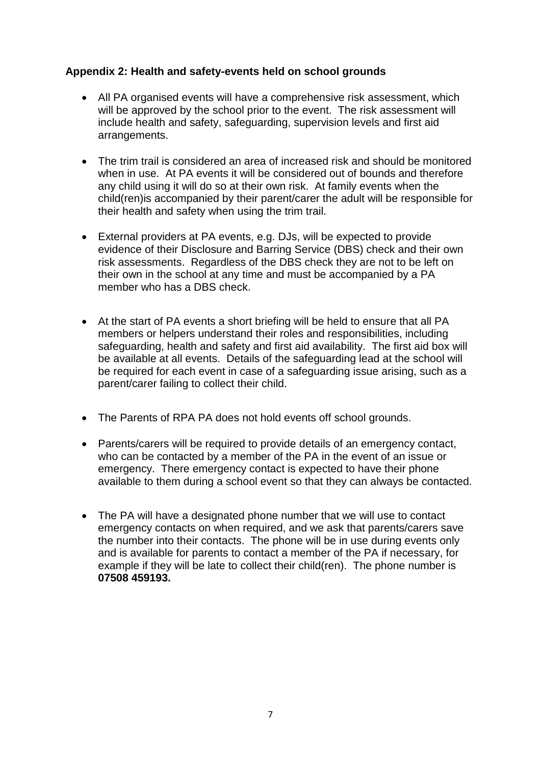# **Appendix 2: Health and safety-events held on school grounds**

- All PA organised events will have a comprehensive risk assessment, which will be approved by the school prior to the event. The risk assessment will include health and safety, safeguarding, supervision levels and first aid arrangements.
- The trim trail is considered an area of increased risk and should be monitored when in use. At PA events it will be considered out of bounds and therefore any child using it will do so at their own risk. At family events when the child(ren)is accompanied by their parent/carer the adult will be responsible for their health and safety when using the trim trail.
- External providers at PA events, e.g. DJs, will be expected to provide evidence of their Disclosure and Barring Service (DBS) check and their own risk assessments. Regardless of the DBS check they are not to be left on their own in the school at any time and must be accompanied by a PA member who has a DBS check.
- At the start of PA events a short briefing will be held to ensure that all PA members or helpers understand their roles and responsibilities, including safeguarding, health and safety and first aid availability. The first aid box will be available at all events. Details of the safeguarding lead at the school will be required for each event in case of a safeguarding issue arising, such as a parent/carer failing to collect their child.
- The Parents of RPA PA does not hold events off school grounds.
- Parents/carers will be required to provide details of an emergency contact, who can be contacted by a member of the PA in the event of an issue or emergency. There emergency contact is expected to have their phone available to them during a school event so that they can always be contacted.
- The PA will have a designated phone number that we will use to contact emergency contacts on when required, and we ask that parents/carers save the number into their contacts. The phone will be in use during events only and is available for parents to contact a member of the PA if necessary, for example if they will be late to collect their child(ren). The phone number is **07508 459193.**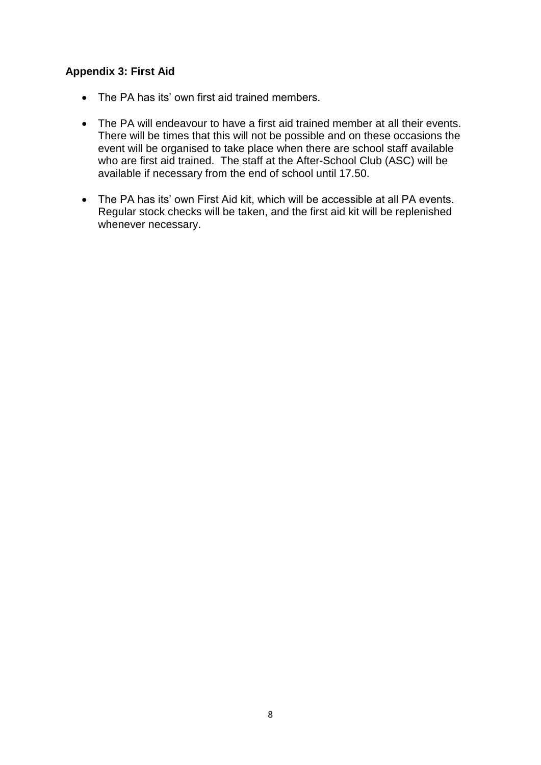# **Appendix 3: First Aid**

- The PA has its' own first aid trained members.
- The PA will endeavour to have a first aid trained member at all their events. There will be times that this will not be possible and on these occasions the event will be organised to take place when there are school staff available who are first aid trained. The staff at the After-School Club (ASC) will be available if necessary from the end of school until 17.50.
- The PA has its' own First Aid kit, which will be accessible at all PA events. Regular stock checks will be taken, and the first aid kit will be replenished whenever necessary.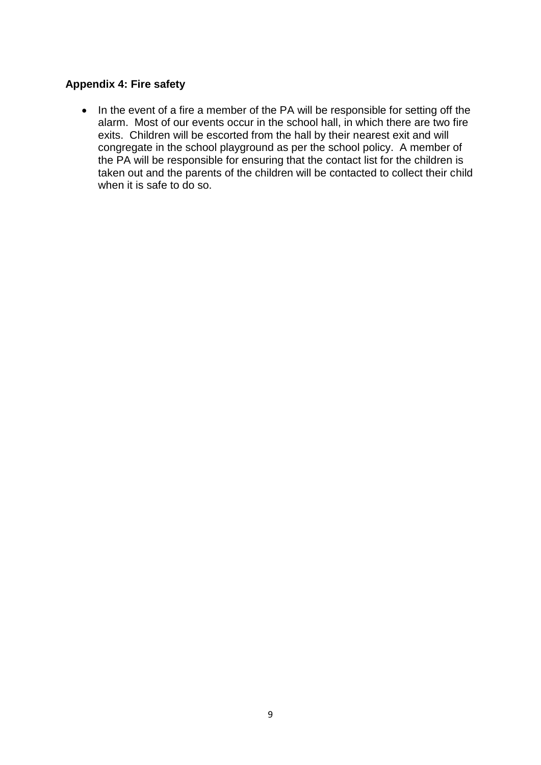## **Appendix 4: Fire safety**

• In the event of a fire a member of the PA will be responsible for setting off the alarm. Most of our events occur in the school hall, in which there are two fire exits. Children will be escorted from the hall by their nearest exit and will congregate in the school playground as per the school policy. A member of the PA will be responsible for ensuring that the contact list for the children is taken out and the parents of the children will be contacted to collect their child when it is safe to do so.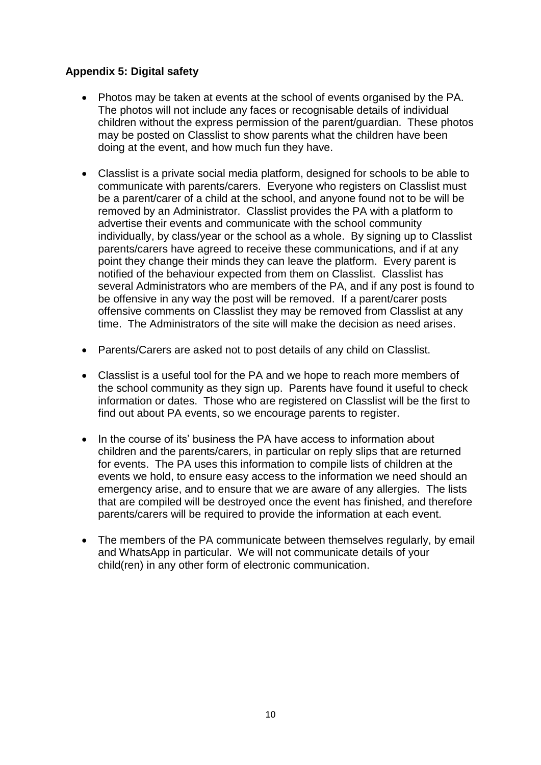# **Appendix 5: Digital safety**

- Photos may be taken at events at the school of events organised by the PA. The photos will not include any faces or recognisable details of individual children without the express permission of the parent/guardian. These photos may be posted on Classlist to show parents what the children have been doing at the event, and how much fun they have.
- Classlist is a private social media platform, designed for schools to be able to communicate with parents/carers. Everyone who registers on Classlist must be a parent/carer of a child at the school, and anyone found not to be will be removed by an Administrator. Classlist provides the PA with a platform to advertise their events and communicate with the school community individually, by class/year or the school as a whole. By signing up to Classlist parents/carers have agreed to receive these communications, and if at any point they change their minds they can leave the platform. Every parent is notified of the behaviour expected from them on Classlist. Classlist has several Administrators who are members of the PA, and if any post is found to be offensive in any way the post will be removed. If a parent/carer posts offensive comments on Classlist they may be removed from Classlist at any time. The Administrators of the site will make the decision as need arises.
- Parents/Carers are asked not to post details of any child on Classlist.
- Classlist is a useful tool for the PA and we hope to reach more members of the school community as they sign up. Parents have found it useful to check information or dates. Those who are registered on Classlist will be the first to find out about PA events, so we encourage parents to register.
- In the course of its' business the PA have access to information about children and the parents/carers, in particular on reply slips that are returned for events. The PA uses this information to compile lists of children at the events we hold, to ensure easy access to the information we need should an emergency arise, and to ensure that we are aware of any allergies. The lists that are compiled will be destroyed once the event has finished, and therefore parents/carers will be required to provide the information at each event.
- The members of the PA communicate between themselves regularly, by email and WhatsApp in particular. We will not communicate details of your child(ren) in any other form of electronic communication.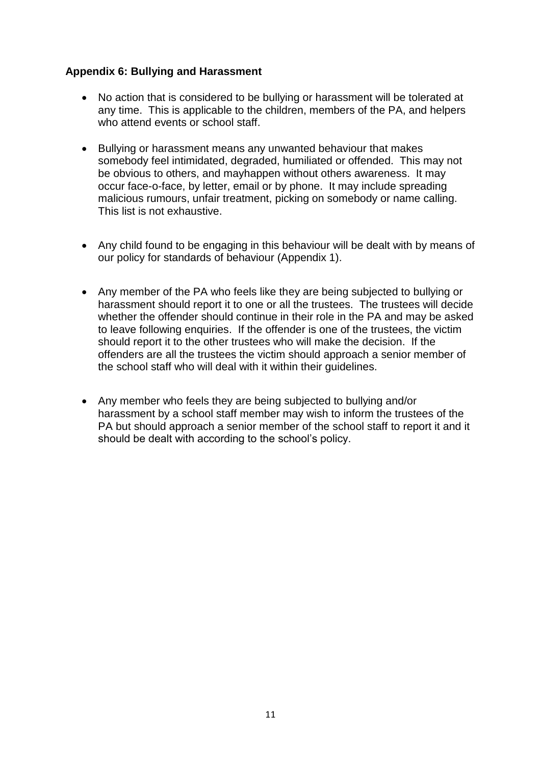# **Appendix 6: Bullying and Harassment**

- No action that is considered to be bullying or harassment will be tolerated at any time. This is applicable to the children, members of the PA, and helpers who attend events or school staff.
- Bullying or harassment means any unwanted behaviour that makes somebody feel intimidated, degraded, humiliated or offended. This may not be obvious to others, and mayhappen without others awareness. It may occur face-o-face, by letter, email or by phone. It may include spreading malicious rumours, unfair treatment, picking on somebody or name calling. This list is not exhaustive.
- Any child found to be engaging in this behaviour will be dealt with by means of our policy for standards of behaviour (Appendix 1).
- Any member of the PA who feels like they are being subjected to bullying or harassment should report it to one or all the trustees. The trustees will decide whether the offender should continue in their role in the PA and may be asked to leave following enquiries. If the offender is one of the trustees, the victim should report it to the other trustees who will make the decision. If the offenders are all the trustees the victim should approach a senior member of the school staff who will deal with it within their guidelines.
- Any member who feels they are being subjected to bullying and/or harassment by a school staff member may wish to inform the trustees of the PA but should approach a senior member of the school staff to report it and it should be dealt with according to the school's policy.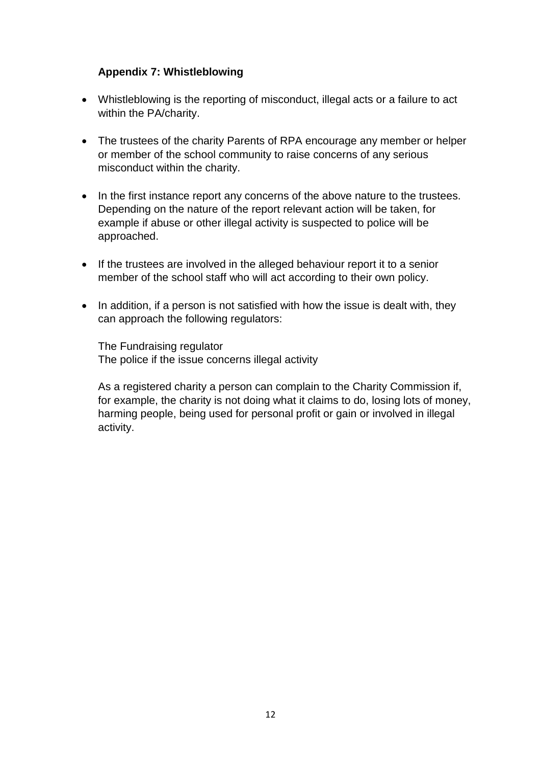# **Appendix 7: Whistleblowing**

- Whistleblowing is the reporting of misconduct, illegal acts or a failure to act within the PA/charity.
- The trustees of the charity Parents of RPA encourage any member or helper or member of the school community to raise concerns of any serious misconduct within the charity.
- In the first instance report any concerns of the above nature to the trustees. Depending on the nature of the report relevant action will be taken, for example if abuse or other illegal activity is suspected to police will be approached.
- If the trustees are involved in the alleged behaviour report it to a senior member of the school staff who will act according to their own policy.
- In addition, if a person is not satisfied with how the issue is dealt with, they can approach the following regulators:

The Fundraising regulator The police if the issue concerns illegal activity

As a registered charity a person can complain to the Charity Commission if, for example, the charity is not doing what it claims to do, losing lots of money, harming people, being used for personal profit or gain or involved in illegal activity.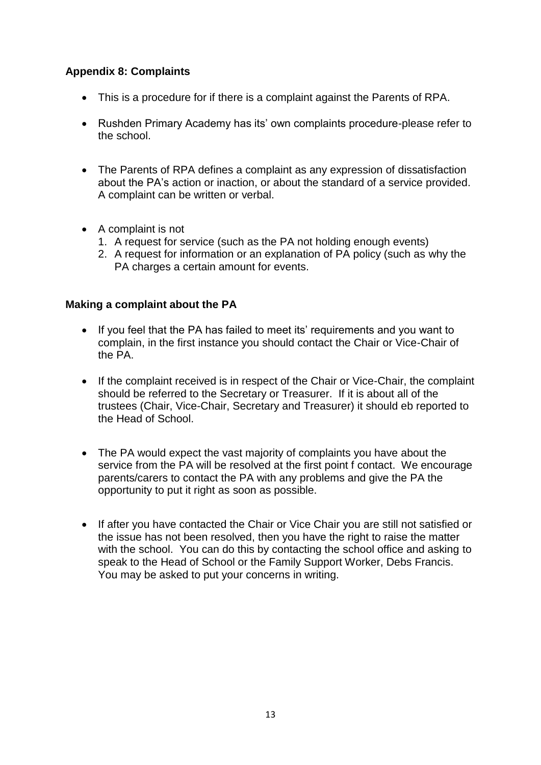# **Appendix 8: Complaints**

- This is a procedure for if there is a complaint against the Parents of RPA.
- Rushden Primary Academy has its' own complaints procedure-please refer to the school.
- The Parents of RPA defines a complaint as any expression of dissatisfaction about the PA's action or inaction, or about the standard of a service provided. A complaint can be written or verbal.
- A complaint is not
	- 1. A request for service (such as the PA not holding enough events)
	- 2. A request for information or an explanation of PA policy (such as why the PA charges a certain amount for events.

## **Making a complaint about the PA**

- If you feel that the PA has failed to meet its' requirements and you want to complain, in the first instance you should contact the Chair or Vice-Chair of the PA.
- If the complaint received is in respect of the Chair or Vice-Chair, the complaint should be referred to the Secretary or Treasurer. If it is about all of the trustees (Chair, Vice-Chair, Secretary and Treasurer) it should eb reported to the Head of School.
- The PA would expect the vast majority of complaints you have about the service from the PA will be resolved at the first point f contact. We encourage parents/carers to contact the PA with any problems and give the PA the opportunity to put it right as soon as possible.
- If after you have contacted the Chair or Vice Chair you are still not satisfied or the issue has not been resolved, then you have the right to raise the matter with the school. You can do this by contacting the school office and asking to speak to the Head of School or the Family Support Worker, Debs Francis. You may be asked to put your concerns in writing.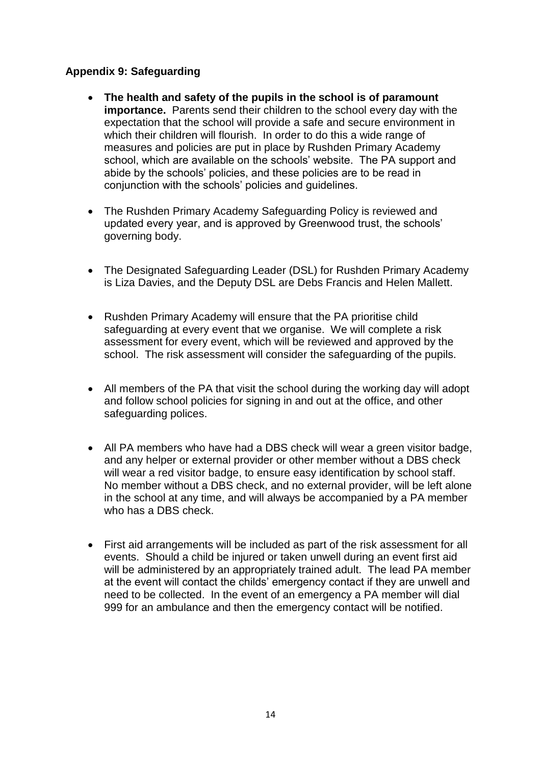# **Appendix 9: Safeguarding**

- **The health and safety of the pupils in the school is of paramount importance.** Parents send their children to the school every day with the expectation that the school will provide a safe and secure environment in which their children will flourish. In order to do this a wide range of measures and policies are put in place by Rushden Primary Academy school, which are available on the schools' website. The PA support and abide by the schools' policies, and these policies are to be read in conjunction with the schools' policies and guidelines.
- The Rushden Primary Academy Safeguarding Policy is reviewed and updated every year, and is approved by Greenwood trust, the schools' governing body.
- The Designated Safeguarding Leader (DSL) for Rushden Primary Academy is Liza Davies, and the Deputy DSL are Debs Francis and Helen Mallett.
- Rushden Primary Academy will ensure that the PA prioritise child safeguarding at every event that we organise. We will complete a risk assessment for every event, which will be reviewed and approved by the school. The risk assessment will consider the safeguarding of the pupils.
- All members of the PA that visit the school during the working day will adopt and follow school policies for signing in and out at the office, and other safeguarding polices.
- All PA members who have had a DBS check will wear a green visitor badge, and any helper or external provider or other member without a DBS check will wear a red visitor badge, to ensure easy identification by school staff. No member without a DBS check, and no external provider, will be left alone in the school at any time, and will always be accompanied by a PA member who has a DBS check.
- First aid arrangements will be included as part of the risk assessment for all events. Should a child be injured or taken unwell during an event first aid will be administered by an appropriately trained adult. The lead PA member at the event will contact the childs' emergency contact if they are unwell and need to be collected. In the event of an emergency a PA member will dial 999 for an ambulance and then the emergency contact will be notified.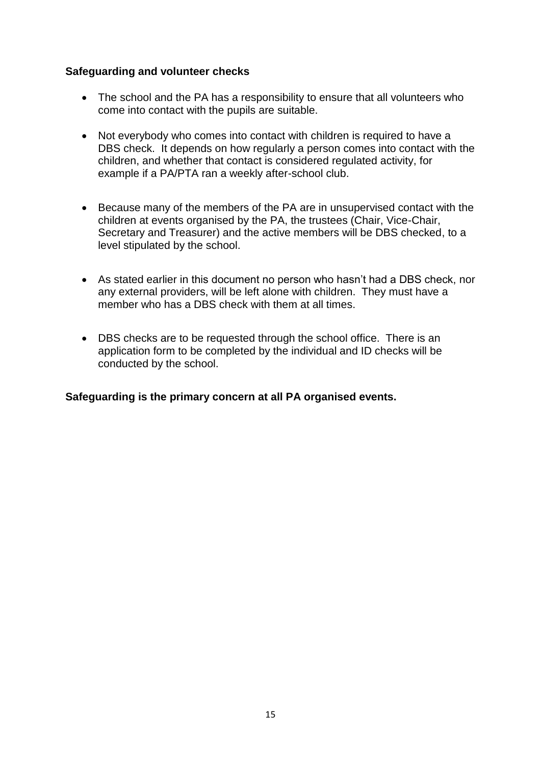### **Safeguarding and volunteer checks**

- The school and the PA has a responsibility to ensure that all volunteers who come into contact with the pupils are suitable.
- Not everybody who comes into contact with children is required to have a DBS check. It depends on how regularly a person comes into contact with the children, and whether that contact is considered regulated activity, for example if a PA/PTA ran a weekly after-school club.
- Because many of the members of the PA are in unsupervised contact with the children at events organised by the PA, the trustees (Chair, Vice-Chair, Secretary and Treasurer) and the active members will be DBS checked, to a level stipulated by the school.
- As stated earlier in this document no person who hasn't had a DBS check, nor any external providers, will be left alone with children. They must have a member who has a DBS check with them at all times.
- DBS checks are to be requested through the school office. There is an application form to be completed by the individual and ID checks will be conducted by the school.

**Safeguarding is the primary concern at all PA organised events.**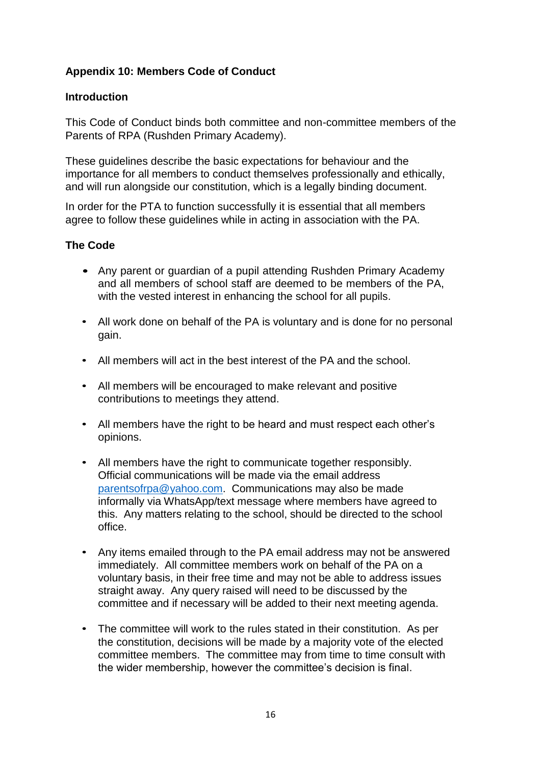# **Appendix 10: Members Code of Conduct**

## **Introduction**

This Code of Conduct binds both committee and non-committee members of the Parents of RPA (Rushden Primary Academy).

These guidelines describe the basic expectations for behaviour and the importance for all members to conduct themselves professionally and ethically, and will run alongside our constitution, which is a legally binding document.

In order for the PTA to function successfully it is essential that all members agree to follow these guidelines while in acting in association with the PA.

# **The Code**

- Any parent or guardian of a pupil attending Rushden Primary Academy and all members of school staff are deemed to be members of the PA, with the vested interest in enhancing the school for all pupils.
- All work done on behalf of the PA is voluntary and is done for no personal gain.
- All members will act in the best interest of the PA and the school.
- All members will be encouraged to make relevant and positive contributions to meetings they attend.
- All members have the right to be heard and must respect each other's opinions.
- All members have the right to communicate together responsibly. Official communications will be made via the email address [parentsofrpa@yahoo.com.](mailto:parentsofrpa@yahoo.com) Communications may also be made informally via WhatsApp/text message where members have agreed to this. Any matters relating to the school, should be directed to the school office.
- Any items emailed through to the PA email address may not be answered immediately. All committee members work on behalf of the PA on a voluntary basis, in their free time and may not be able to address issues straight away. Any query raised will need to be discussed by the committee and if necessary will be added to their next meeting agenda.
- The committee will work to the rules stated in their constitution. As per the constitution, decisions will be made by a majority vote of the elected committee members. The committee may from time to time consult with the wider membership, however the committee's decision is final.